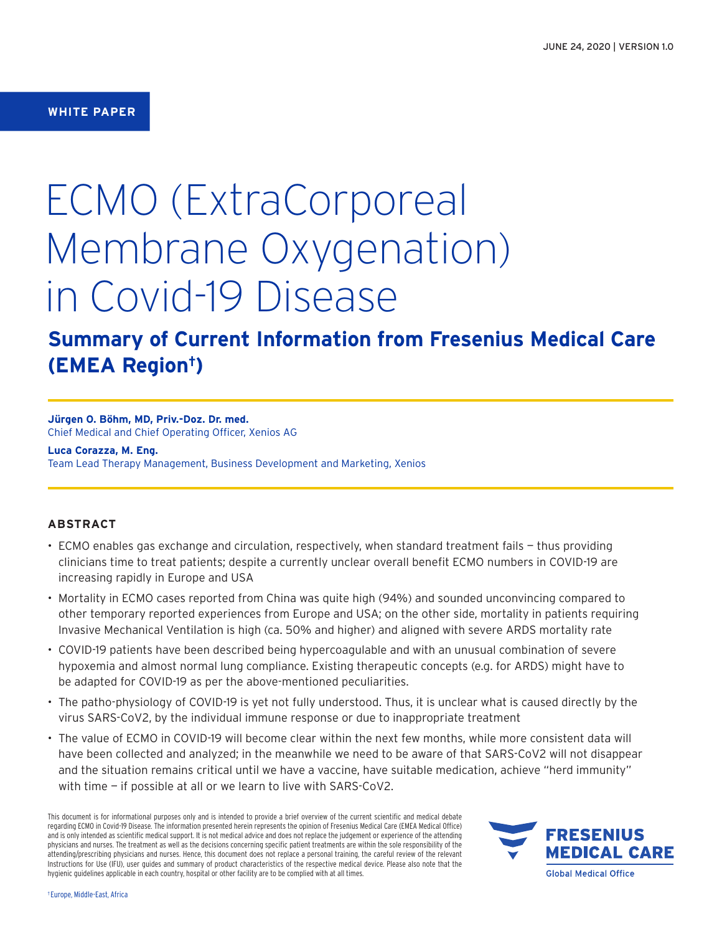# **WHITE PAPER**

# ECMO (ExtraCorporeal Membrane Oxygenation) in Covid-19 Disease

# **Summary of Current Information from Fresenius Medical Care (EMEA Region†)**

**Jürgen O. Böhm, MD, Priv.-Doz. Dr. med.** Chief Medical and Chief Operating Officer, Xenios AG

**Luca Corazza, M. Eng.**

Team Lead Therapy Management, Business Development and Marketing, Xenios

# **ABSTRACT**

- ECMO enables gas exchange and circulation, respectively, when standard treatment fails thus providing clinicians time to treat patients; despite a currently unclear overall benefit ECMO numbers in COVID-19 are increasing rapidly in Europe and USA
- Mortality in ECMO cases reported from China was quite high (94%) and sounded unconvincing compared to other temporary reported experiences from Europe and USA; on the other side, mortality in patients requiring Invasive Mechanical Ventilation is high (ca. 50% and higher) and aligned with severe ARDS mortality rate
- COVID-19 patients have been described being hypercoagulable and with an unusual combination of severe hypoxemia and almost normal lung compliance. Existing therapeutic concepts (e.g. for ARDS) might have to be adapted for COVID-19 as per the above-mentioned peculiarities.
- The patho-physiology of COVID-19 is yet not fully understood. Thus, it is unclear what is caused directly by the virus SARS-CoV2, by the individual immune response or due to inappropriate treatment
- The value of ECMO in COVID-19 will become clear within the next few months, while more consistent data will have been collected and analyzed; in the meanwhile we need to be aware of that SARS-CoV2 will not disappear and the situation remains critical until we have a vaccine, have suitable medication, achieve "herd immunity" with time — if possible at all or we learn to live with SARS-CoV2.

This document is for informational purposes only and is intended to provide a brief overview of the current scientific and medical debate regarding ECMO in Covid-19 Disease. The information presented herein represents the opinion of Fresenius Medical Care (EMEA Medical Office) and is only intended as scientific medical support. It is not medical advice and does not replace the judgement or experience of the attending physicians and nurses. The treatment as well as the decisions concerning specific patient treatments are within the sole responsibility of the attending/prescribing physicians and nurses. Hence, this document does not replace a personal training, the careful review of the relevant Instructions for Use (IFU), user guides and summary of product characteristics of the respective medical device. Please also note that the hygienic guidelines applicable in each country, hospital or other facility are to be complied with at all times.

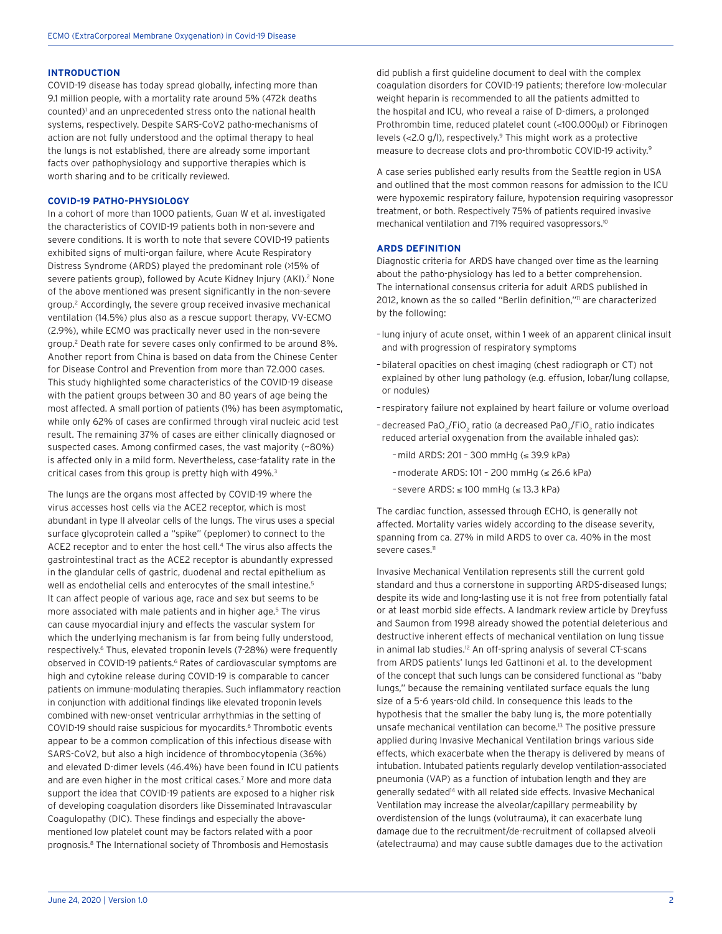# **INTRODUCTION**

COVID-19 disease has today spread globally, infecting more than 9.1 million people, with a mortality rate around 5% (472k deaths counted)<sup>1</sup> and an unprecedented stress onto the national health systems, respectively. Despite SARS-CoV2 patho-mechanisms of action are not fully understood and the optimal therapy to heal the lungs is not established, there are already some important facts over pathophysiology and supportive therapies which is worth sharing and to be critically reviewed.

# **COVID-19 PATHO-PHYSIOLOGY**

In a cohort of more than 1000 patients, Guan W et al. investigated the characteristics of COVID-19 patients both in non-severe and severe conditions. It is worth to note that severe COVID-19 patients exhibited signs of multi-organ failure, where Acute Respiratory Distress Syndrome (ARDS) played the predominant role (>15% of severe patients group), followed by Acute Kidney Injury (AKI).<sup>2</sup> None of the above mentioned was present significantly in the non-severe group.<sup>2</sup> Accordingly, the severe group received invasive mechanical ventilation (14.5%) plus also as a rescue support therapy, VV-ECMO (2.9%), while ECMO was practically never used in the non-severe group.<sup>2</sup> Death rate for severe cases only confirmed to be around 8%. Another report from China is based on data from the Chinese Center for Disease Control and Prevention from more than 72.000 cases. This study highlighted some characteristics of the COVID-19 disease with the patient groups between 30 and 80 years of age being the most affected. A small portion of patients (1%) has been asymptomatic, while only 62% of cases are confirmed through viral nucleic acid test result. The remaining 37% of cases are either clinically diagnosed or suspected cases. Among confirmed cases, the vast majority (~80%) is affected only in a mild form. Nevertheless, case-fatality rate in the critical cases from this group is pretty high with 49%.<sup>3</sup>

The lungs are the organs most affected by COVID-19 where the virus accesses host cells via the ACE2 receptor, which is most abundant in type II alveolar cells of the lungs. The virus uses a special surface glycoprotein called a "spike" (peplomer) to connect to the ACE2 receptor and to enter the host cell.<sup>4</sup> The virus also affects the gastrointestinal tract as the ACE2 receptor is abundantly expressed in the glandular cells of gastric, duodenal and rectal epithelium as well as endothelial cells and enterocytes of the small intestine.<sup>5</sup> It can affect people of various age, race and sex but seems to be more associated with male patients and in higher age.<sup>5</sup> The virus can cause myocardial injury and effects the vascular system for which the underlying mechanism is far from being fully understood, respectively.<sup>6</sup> Thus, elevated troponin levels (7-28%) were frequently observed in COVID-19 patients.<sup>6</sup> Rates of cardiovascular symptoms are high and cytokine release during COVID-19 is comparable to cancer patients on immune-modulating therapies. Such inflammatory reaction in conjunction with additional findings like elevated troponin levels combined with new-onset ventricular arrhythmias in the setting of COVID-19 should raise suspicious for myocardits.<sup>6</sup> Thrombotic events appear to be a common complication of this infectious disease with SARS-CoV2, but also a high incidence of thrombocytopenia (36%) and elevated D-dimer levels (46.4%) have been found in ICU patients and are even higher in the most critical cases.<sup>7</sup> More and more data support the idea that COVID-19 patients are exposed to a higher risk of developing coagulation disorders like Disseminated Intravascular Coagulopathy (DIC). These findings and especially the abovementioned low platelet count may be factors related with a poor prognosis.8 The International society of Thrombosis and Hemostasis

did publish a first guideline document to deal with the complex coagulation disorders for COVID-19 patients; therefore low-molecular weight heparin is recommended to all the patients admitted to the hospital and ICU, who reveal a raise of D-dimers, a prolonged Prothrombin time, reduced platelet count (<100.000μl) or Fibrinogen levels (<2.0 g/l), respectively.9 This might work as a protective measure to decrease clots and pro-thrombotic COVID-19 activity.9

A case series published early results from the Seattle region in USA and outlined that the most common reasons for admission to the ICU were hypoxemic respiratory failure, hypotension requiring vasopressor treatment, or both. Respectively 75% of patients required invasive mechanical ventilation and 71% required vasopressors.10

## **ARDS DEFINITION**

Diagnostic criteria for ARDS have changed over time as the learning about the patho-physiology has led to a better comprehension. The international consensus criteria for adult ARDS published in 2012, known as the so called "Berlin definition,"<sup>11</sup> are characterized by the following:

- lung injury of acute onset, within 1 week of an apparent clinical insult and with progression of respiratory symptoms
- bilateral opacities on chest imaging (chest radiograph or CT) not explained by other lung pathology (e.g. effusion, lobar/lung collapse, or nodules)
- respiratory failure not explained by heart failure or volume overload
- -decreased PaO $_2$ /FiO $_2$  ratio (a decreased PaO $_2$ /FiO $_2$  ratio indicates reduced arterial oxygenation from the available inhaled gas):
	- –mild ARDS: 201 300 mmHg (≤ 39.9 kPa)
	- –moderate ARDS: 101 200 mmHg (≤ 26.6 kPa)
	- severe ARDS: ≤ 100 mmHg (≤ 13.3 kPa)

The cardiac function, assessed through ECHO, is generally not affected. Mortality varies widely according to the disease severity, spanning from ca. 27% in mild ARDS to over ca. 40% in the most severe cases.<sup>11</sup>

Invasive Mechanical Ventilation represents still the current gold standard and thus a cornerstone in supporting ARDS-diseased lungs; despite its wide and long-lasting use it is not free from potentially fatal or at least morbid side effects. A landmark review article by Dreyfuss and Saumon from 1998 already showed the potential deleterious and destructive inherent effects of mechanical ventilation on lung tissue in animal lab studies.<sup>12</sup> An off-spring analysis of several CT-scans from ARDS patients' lungs led Gattinoni et al. to the development of the concept that such lungs can be considered functional as "baby lungs," because the remaining ventilated surface equals the lung size of a 5-6 years-old child. In consequence this leads to the hypothesis that the smaller the baby lung is, the more potentially unsafe mechanical ventilation can become.13 The positive pressure applied during Invasive Mechanical Ventilation brings various side effects, which exacerbate when the therapy is delivered by means of intubation. Intubated patients regularly develop ventilation-associated pneumonia (VAP) as a function of intubation length and they are generally sedated<sup>14</sup> with all related side effects. Invasive Mechanical Ventilation may increase the alveolar/capillary permeability by overdistension of the lungs (volutrauma), it can exacerbate lung damage due to the recruitment/de-recruitment of collapsed alveoli (atelectrauma) and may cause subtle damages due to the activation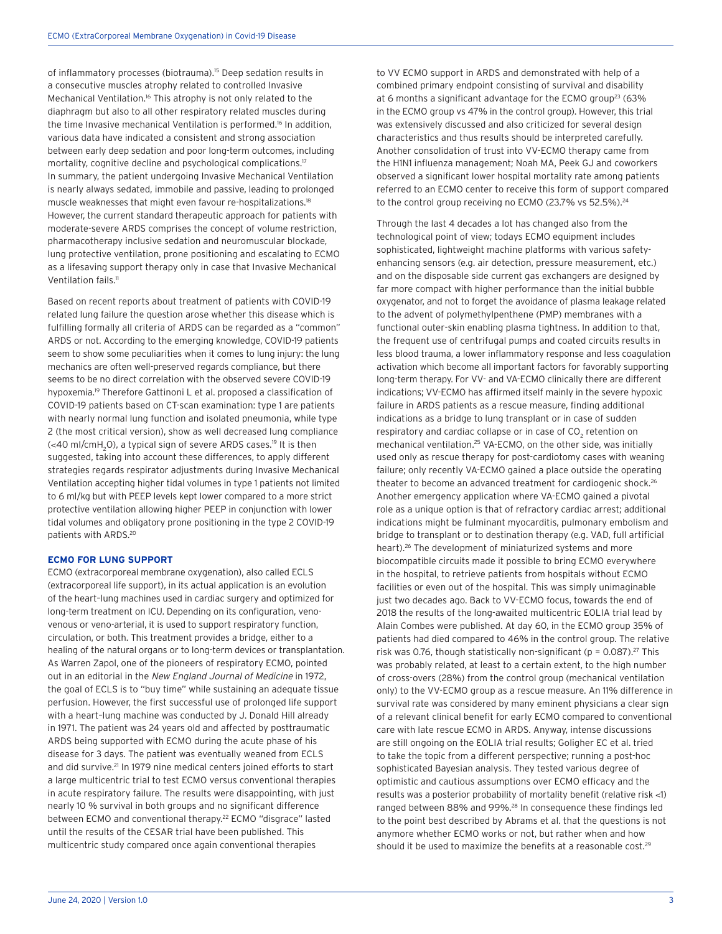of inflammatory processes (biotrauma).<sup>15</sup> Deep sedation results in a consecutive muscles atrophy related to controlled Invasive Mechanical Ventilation.<sup>16</sup> This atrophy is not only related to the diaphragm but also to all other respiratory related muscles during the time Invasive mechanical Ventilation is performed.<sup>16</sup> In addition, various data have indicated a consistent and strong association between early deep sedation and poor long-term outcomes, including mortality, cognitive decline and psychological complications.<sup>17</sup> In summary, the patient undergoing Invasive Mechanical Ventilation is nearly always sedated, immobile and passive, leading to prolonged muscle weaknesses that might even favour re-hospitalizations.18 However, the current standard therapeutic approach for patients with moderate-severe ARDS comprises the concept of volume restriction, pharmacotherapy inclusive sedation and neuromuscular blockade, lung protective ventilation, prone positioning and escalating to ECMO as a lifesaving support therapy only in case that Invasive Mechanical Ventilation fails.<sup>11</sup>

Based on recent reports about treatment of patients with COVID-19 related lung failure the question arose whether this disease which is fulfilling formally all criteria of ARDS can be regarded as a "common" ARDS or not. According to the emerging knowledge, COVID-19 patients seem to show some peculiarities when it comes to lung injury: the lung mechanics are often well-preserved regards compliance, but there seems to be no direct correlation with the observed severe COVID-19 hypoxemia.19 Therefore Gattinoni L et al. proposed a classification of COVID-19 patients based on CT-scan examination: type 1 are patients with nearly normal lung function and isolated pneumonia, while type 2 (the most critical version), show as well decreased lung compliance (<40 ml/cmH<sub>2</sub>O), a typical sign of severe ARDS cases.<sup>19</sup> It is then suggested, taking into account these differences, to apply different strategies regards respirator adjustments during Invasive Mechanical Ventilation accepting higher tidal volumes in type 1 patients not limited to 6 ml/kg but with PEEP levels kept lower compared to a more strict protective ventilation allowing higher PEEP in conjunction with lower tidal volumes and obligatory prone positioning in the type 2 COVID-19 patients with ARDS.20

# **ECMO FOR LUNG SUPPORT**

ECMO (extracorporeal membrane oxygenation), also called ECLS (extracorporeal life support), in its actual application is an evolution of the heart–lung machines used in cardiac surgery and optimized for long-term treatment on ICU. Depending on its configuration, venovenous or veno-arterial, it is used to support respiratory function, circulation, or both. This treatment provides a bridge, either to a healing of the natural organs or to long-term devices or transplantation. As Warren Zapol, one of the pioneers of respiratory ECMO, pointed out in an editorial in the New England Journal of Medicine in 1972, the goal of ECLS is to "buy time" while sustaining an adequate tissue perfusion. However, the first successful use of prolonged life support with a heart–lung machine was conducted by J. Donald Hill already in 1971. The patient was 24 years old and affected by posttraumatic ARDS being supported with ECMO during the acute phase of his disease for 3 days. The patient was eventually weaned from ECLS and did survive.<sup>21</sup> In 1979 nine medical centers joined efforts to start a large multicentric trial to test ECMO versus conventional therapies in acute respiratory failure. The results were disappointing, with just nearly 10 % survival in both groups and no significant difference between ECMO and conventional therapy.<sup>22</sup> ECMO "disgrace" lasted until the results of the CESAR trial have been published. This multicentric study compared once again conventional therapies

to VV ECMO support in ARDS and demonstrated with help of a combined primary endpoint consisting of survival and disability at 6 months a significant advantage for the ECMO group<sup>23</sup> (63%) in the ECMO group vs 47% in the control group). However, this trial was extensively discussed and also criticized for several design characteristics and thus results should be interpreted carefully. Another consolidation of trust into VV-ECMO therapy came from the H1N1 influenza management; Noah MA, Peek GJ and coworkers observed a significant lower hospital mortality rate among patients referred to an ECMO center to receive this form of support compared to the control group receiving no ECMO (23.7% vs 52.5%).<sup>24</sup>

Through the last 4 decades a lot has changed also from the technological point of view; todays ECMO equipment includes sophisticated, lightweight machine platforms with various safetyenhancing sensors (e.g. air detection, pressure measurement, etc.) and on the disposable side current gas exchangers are designed by far more compact with higher performance than the initial bubble oxygenator, and not to forget the avoidance of plasma leakage related to the advent of polymethylpenthene (PMP) membranes with a functional outer-skin enabling plasma tightness. In addition to that, the frequent use of centrifugal pumps and coated circuits results in less blood trauma, a lower inflammatory response and less coagulation activation which become all important factors for favorably supporting long-term therapy. For VV- and VA-ECMO clinically there are different indications; VV-ECMO has affirmed itself mainly in the severe hypoxic failure in ARDS patients as a rescue measure, finding additional indications as a bridge to lung transplant or in case of sudden respiratory and cardiac collapse or in case of CO $_{\textrm{\tiny{2}}}$  retention on mechanical ventilation.25 VA-ECMO, on the other side, was initially used only as rescue therapy for post-cardiotomy cases with weaning failure; only recently VA-ECMO gained a place outside the operating theater to become an advanced treatment for cardiogenic shock.26 Another emergency application where VA-ECMO gained a pivotal role as a unique option is that of refractory cardiac arrest; additional indications might be fulminant myocarditis, pulmonary embolism and bridge to transplant or to destination therapy (e.g. VAD, full artificial heart).26 The development of miniaturized systems and more biocompatible circuits made it possible to bring ECMO everywhere in the hospital, to retrieve patients from hospitals without ECMO facilities or even out of the hospital. This was simply unimaginable just two decades ago. Back to VV-ECMO focus, towards the end of 2018 the results of the long-awaited multicentric EOLIA trial lead by Alain Combes were published. At day 60, in the ECMO group 35% of patients had died compared to 46% in the control group. The relative risk was 0.76, though statistically non-significant ( $p = 0.087$ ).<sup>27</sup> This was probably related, at least to a certain extent, to the high number of cross-overs (28%) from the control group (mechanical ventilation only) to the VV-ECMO group as a rescue measure. An 11% difference in survival rate was considered by many eminent physicians a clear sign of a relevant clinical benefit for early ECMO compared to conventional care with late rescue ECMO in ARDS. Anyway, intense discussions are still ongoing on the EOLIA trial results; Goligher EC et al. tried to take the topic from a different perspective; running a post-hoc sophisticated Bayesian analysis. They tested various degree of optimistic and cautious assumptions over ECMO efficacy and the results was a posterior probability of mortality benefit (relative risk <1) ranged between 88% and 99%.28 In consequence these findings led to the point best described by Abrams et al. that the questions is not anymore whether ECMO works or not, but rather when and how should it be used to maximize the benefits at a reasonable cost.<sup>29</sup>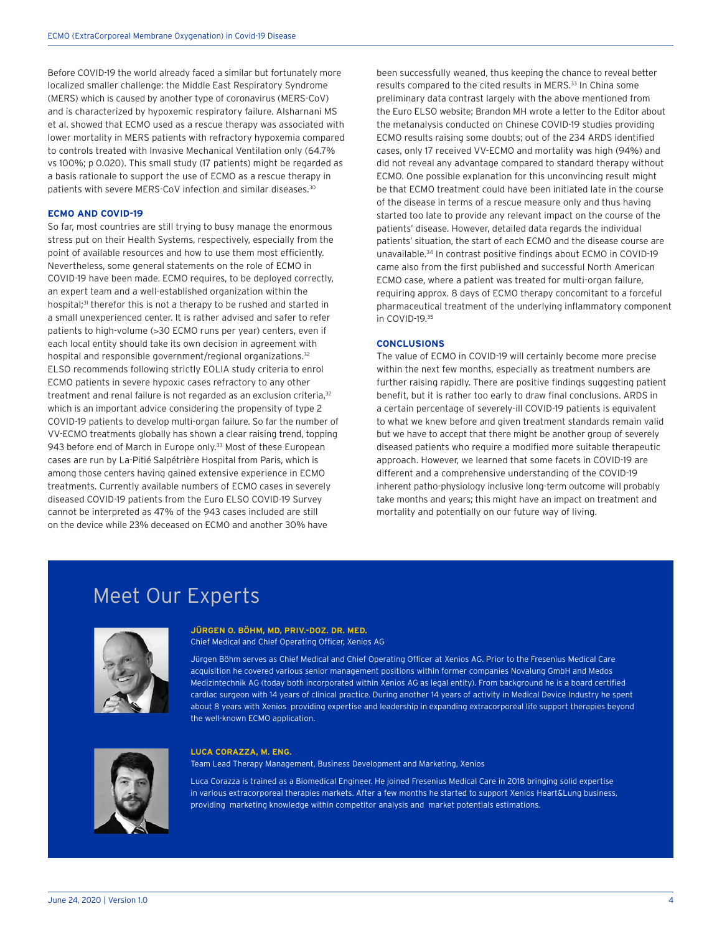Before COVID-19 the world already faced a similar but fortunately more localized smaller challenge: the Middle East Respiratory Syndrome (MERS) which is caused by another type of coronavirus (MERS-CoV) and is characterized by hypoxemic respiratory failure. Alsharnani MS et al. showed that ECMO used as a rescue therapy was associated with lower mortality in MERS patients with refractory hypoxemia compared to controls treated with Invasive Mechanical Ventilation only (64.7% vs 100%; p 0.020). This small study (17 patients) might be regarded as a basis rationale to support the use of ECMO as a rescue therapy in patients with severe MERS-CoV infection and similar diseases.30

## **ECMO AND COVID-19**

So far, most countries are still trying to busy manage the enormous stress put on their Health Systems, respectively, especially from the point of available resources and how to use them most efficiently. Nevertheless, some general statements on the role of ECMO in COVID-19 have been made. ECMO requires, to be deployed correctly, an expert team and a well-established organization within the hospital;<sup>31</sup> therefor this is not a therapy to be rushed and started in a small unexperienced center. It is rather advised and safer to refer patients to high-volume (>30 ECMO runs per year) centers, even if each local entity should take its own decision in agreement with hospital and responsible government/regional organizations.<sup>32</sup> ELSO recommends following strictly EOLIA study criteria to enrol ECMO patients in severe hypoxic cases refractory to any other treatment and renal failure is not regarded as an exclusion criteria,<sup>32</sup> which is an important advice considering the propensity of type 2 COVID-19 patients to develop multi-organ failure. So far the number of VV-ECMO treatments globally has shown a clear raising trend, topping 943 before end of March in Europe only.<sup>33</sup> Most of these European cases are run by La-Pitié Salpétrière Hospital from Paris, which is among those centers having gained extensive experience in ECMO treatments. Currently available numbers of ECMO cases in severely diseased COVID-19 patients from the Euro ELSO COVID-19 Survey cannot be interpreted as 47% of the 943 cases included are still on the device while 23% deceased on ECMO and another 30% have

been successfully weaned, thus keeping the chance to reveal better results compared to the cited results in MERS.<sup>33</sup> In China some preliminary data contrast largely with the above mentioned from the Euro ELSO website; Brandon MH wrote a letter to the Editor about the metanalysis conducted on Chinese COVID-19 studies providing ECMO results raising some doubts; out of the 234 ARDS identified cases, only 17 received VV-ECMO and mortality was high (94%) and did not reveal any advantage compared to standard therapy without ECMO. One possible explanation for this unconvincing result might be that ECMO treatment could have been initiated late in the course of the disease in terms of a rescue measure only and thus having started too late to provide any relevant impact on the course of the patients' disease. However, detailed data regards the individual patients' situation, the start of each ECMO and the disease course are unavailable.34 In contrast positive findings about ECMO in COVID-19 came also from the first published and successful North American ECMO case, where a patient was treated for multi-organ failure, requiring approx. 8 days of ECMO therapy concomitant to a forceful pharmaceutical treatment of the underlying inflammatory component in COVID-19.35

# **CONCLUSIONS**

The value of ECMO in COVID-19 will certainly become more precise within the next few months, especially as treatment numbers are further raising rapidly. There are positive findings suggesting patient benefit, but it is rather too early to draw final conclusions. ARDS in a certain percentage of severely-ill COVID-19 patients is equivalent to what we knew before and given treatment standards remain valid but we have to accept that there might be another group of severely diseased patients who require a modified more suitable therapeutic approach. However, we learned that some facets in COVID-19 are different and a comprehensive understanding of the COVID-19 inherent patho-physiology inclusive long-term outcome will probably take months and years; this might have an impact on treatment and mortality and potentially on our future way of living.

# Meet Our Experts



### **JÜRGEN O. BÖHM, MD, PRIV.-DOZ. DR. MED.** Chief Medical and Chief Operating Officer, Xenios AG

Jürgen Böhm serves as Chief Medical and Chief Operating Officer at Xenios AG. Prior to the Fresenius Medical Care acquisition he covered various senior management positions within former companies Novalung GmbH and Medos Medizintechnik AG (today both incorporated within Xenios AG as legal entity). From background he is a board certified cardiac surgeon with 14 years of clinical practice. During another 14 years of activity in Medical Device Industry he spent about 8 years with Xenios providing expertise and leadership in expanding extracorporeal life support therapies beyond the well-known ECMO application.



#### **LUCA CORAZZA, M. ENG.**

Team Lead Therapy Management, Business Development and Marketing, Xenios

Luca Corazza is trained as a Biomedical Engineer. He joined Fresenius Medical Care in 2018 bringing solid expertise in various extracorporeal therapies markets. After a few months he started to support Xenios Heart&Lung business, providing marketing knowledge within competitor analysis and market potentials estimations.